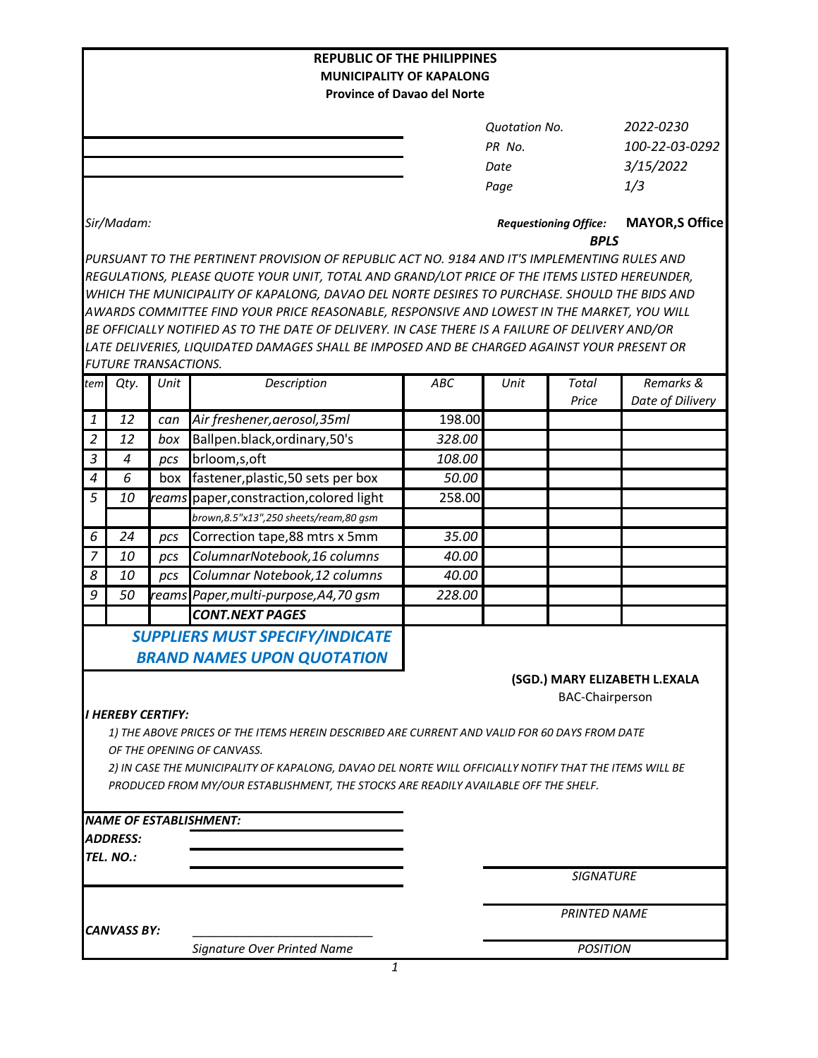|                                                                                                                             |                             |       | <b>REPUBLIC OF THE PHILIPPINES</b>                                                               |                                                                                              |                      |                        |                               |  |
|-----------------------------------------------------------------------------------------------------------------------------|-----------------------------|-------|--------------------------------------------------------------------------------------------------|----------------------------------------------------------------------------------------------|----------------------|------------------------|-------------------------------|--|
|                                                                                                                             |                             |       | <b>MUNICIPALITY OF KAPALONG</b>                                                                  |                                                                                              |                      |                        |                               |  |
|                                                                                                                             |                             |       | <b>Province of Davao del Norte</b>                                                               |                                                                                              |                      |                        |                               |  |
|                                                                                                                             |                             |       |                                                                                                  |                                                                                              | <b>Quotation No.</b> |                        | 2022-0230                     |  |
|                                                                                                                             |                             |       |                                                                                                  |                                                                                              | PR No.               |                        | 100-22-03-0292                |  |
|                                                                                                                             |                             |       |                                                                                                  |                                                                                              | Date                 |                        | 3/15/2022                     |  |
|                                                                                                                             |                             |       |                                                                                                  |                                                                                              | Page                 |                        | 1/3                           |  |
|                                                                                                                             |                             |       |                                                                                                  |                                                                                              |                      |                        |                               |  |
|                                                                                                                             | Sir/Madam:                  |       |                                                                                                  | <b>Requestioning Office:</b><br><b>BPLS</b>                                                  |                      |                        | <b>MAYOR, S Office</b>        |  |
|                                                                                                                             |                             |       |                                                                                                  | PURSUANT TO THE PERTINENT PROVISION OF REPUBLIC ACT NO. 9184 AND IT'S IMPLEMENTING RULES AND |                      |                        |                               |  |
|                                                                                                                             |                             |       | REGULATIONS, PLEASE QUOTE YOUR UNIT, TOTAL AND GRAND/LOT PRICE OF THE ITEMS LISTED HEREUNDER,    |                                                                                              |                      |                        |                               |  |
|                                                                                                                             |                             |       | WHICH THE MUNICIPALITY OF KAPALONG, DAVAO DEL NORTE DESIRES TO PURCHASE. SHOULD THE BIDS AND     |                                                                                              |                      |                        |                               |  |
|                                                                                                                             |                             |       | AWARDS COMMITTEE FIND YOUR PRICE REASONABLE, RESPONSIVE AND LOWEST IN THE MARKET, YOU WILL       |                                                                                              |                      |                        |                               |  |
|                                                                                                                             |                             |       | BE OFFICIALLY NOTIFIED AS TO THE DATE OF DELIVERY. IN CASE THERE IS A FAILURE OF DELIVERY AND/OR |                                                                                              |                      |                        |                               |  |
|                                                                                                                             |                             |       | LATE DELIVERIES, LIQUIDATED DAMAGES SHALL BE IMPOSED AND BE CHARGED AGAINST YOUR PRESENT OR      |                                                                                              |                      |                        |                               |  |
|                                                                                                                             | <b>FUTURE TRANSACTIONS.</b> |       |                                                                                                  |                                                                                              |                      |                        |                               |  |
| tem                                                                                                                         | Qty.                        | Unit  | Description                                                                                      | <b>ABC</b>                                                                                   | Unit                 | Total<br>Price         | Remarks &<br>Date of Dilivery |  |
| $\mathbf{1}$                                                                                                                | 12                          | can   | Air freshener, aerosol, 35ml                                                                     | 198.00                                                                                       |                      |                        |                               |  |
| $\overline{2}$                                                                                                              | 12                          | box   | Ballpen.black, ordinary, 50's                                                                    | 328.00                                                                                       |                      |                        |                               |  |
| 3                                                                                                                           | $\overline{4}$              | pcs   | brloom, s, oft                                                                                   | 108.00                                                                                       |                      |                        |                               |  |
| 4                                                                                                                           | 6                           | box   | fastener, plastic, 50 sets per box                                                               | 50.00                                                                                        |                      |                        |                               |  |
| 5                                                                                                                           | 10                          | reams | paper, constraction, colored light                                                               | 258.00                                                                                       |                      |                        |                               |  |
|                                                                                                                             |                             |       | brown,8.5"x13",250 sheets/ream,80 gsm                                                            |                                                                                              |                      |                        |                               |  |
| 6                                                                                                                           | 24                          | pcs   | Correction tape,88 mtrs x 5mm                                                                    | 35.00                                                                                        |                      |                        |                               |  |
| $\overline{7}$                                                                                                              | 10                          | pcs   | ColumnarNotebook, 16 columns                                                                     | 40.00                                                                                        |                      |                        |                               |  |
| 8                                                                                                                           | 10                          | pcs   | Columnar Notebook, 12 columns                                                                    | 40.00                                                                                        |                      |                        |                               |  |
| 9                                                                                                                           | 50                          |       | reams Paper, multi-purpose, A4, 70 gsm                                                           | 228.00                                                                                       |                      |                        |                               |  |
|                                                                                                                             |                             |       | <b>CONT.NEXT PAGES</b>                                                                           |                                                                                              |                      |                        |                               |  |
|                                                                                                                             |                             |       | <b>SUPPLIERS MUST SPECIFY/INDICATE</b>                                                           |                                                                                              |                      |                        |                               |  |
|                                                                                                                             |                             |       |                                                                                                  |                                                                                              |                      |                        |                               |  |
|                                                                                                                             |                             |       | <b>BRAND NAMES UPON QUOTATION</b>                                                                |                                                                                              |                      |                        |                               |  |
|                                                                                                                             |                             |       |                                                                                                  |                                                                                              |                      |                        | (SGD.) MARY ELIZABETH L.EXALA |  |
|                                                                                                                             | <b>I HEREBY CERTIFY:</b>    |       |                                                                                                  |                                                                                              |                      | <b>BAC-Chairperson</b> |                               |  |
|                                                                                                                             |                             |       |                                                                                                  |                                                                                              |                      |                        |                               |  |
| 1) THE ABOVE PRICES OF THE ITEMS HEREIN DESCRIBED ARE CURRENT AND VALID FOR 60 DAYS FROM DATE<br>OF THE OPENING OF CANVASS. |                             |       |                                                                                                  |                                                                                              |                      |                        |                               |  |
| 2) IN CASE THE MUNICIPALITY OF KAPALONG, DAVAO DEL NORTE WILL OFFICIALLY NOTIFY THAT THE ITEMS WILL BE                      |                             |       |                                                                                                  |                                                                                              |                      |                        |                               |  |
|                                                                                                                             |                             |       | PRODUCED FROM MY/OUR ESTABLISHMENT, THE STOCKS ARE READILY AVAILABLE OFF THE SHELF.              |                                                                                              |                      |                        |                               |  |
|                                                                                                                             |                             |       |                                                                                                  |                                                                                              |                      |                        |                               |  |
|                                                                                                                             |                             |       | <b>NAME OF ESTABLISHMENT:</b>                                                                    |                                                                                              |                      |                        |                               |  |
|                                                                                                                             | <b>ADDRESS:</b>             |       |                                                                                                  |                                                                                              |                      |                        |                               |  |
|                                                                                                                             | TEL. NO.:                   |       |                                                                                                  |                                                                                              |                      |                        |                               |  |
|                                                                                                                             |                             |       |                                                                                                  |                                                                                              |                      | <b>SIGNATURE</b>       |                               |  |
|                                                                                                                             |                             |       |                                                                                                  |                                                                                              |                      |                        |                               |  |
|                                                                                                                             | <b>CANVASS BY:</b>          |       |                                                                                                  | <b>PRINTED NAME</b>                                                                          |                      |                        |                               |  |
|                                                                                                                             |                             |       | Signature Over Printed Name                                                                      |                                                                                              |                      | <b>POSITION</b>        |                               |  |
|                                                                                                                             |                             |       | 1                                                                                                |                                                                                              |                      |                        |                               |  |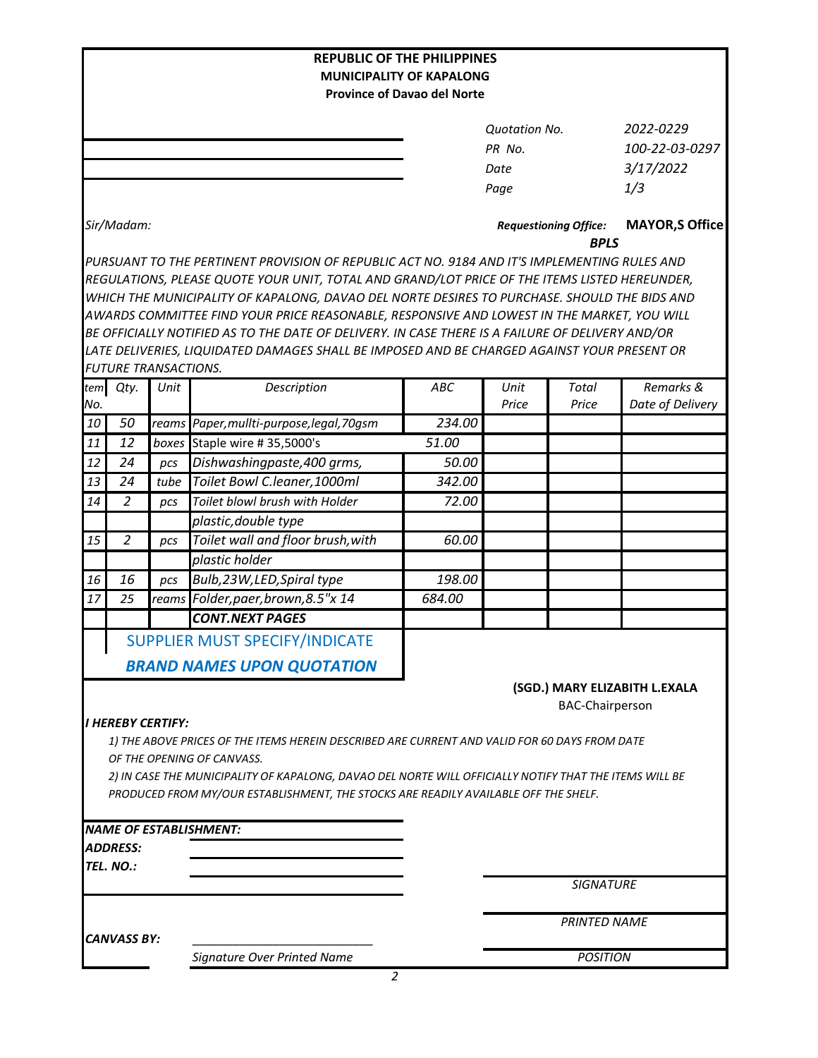|                                                                                                        |                             |       | <b>REPUBLIC OF THE PHILIPPINES</b><br><b>MUNICIPALITY OF KAPALONG</b>                                                                                                                           |                                             |                      |                        |                               |  |
|--------------------------------------------------------------------------------------------------------|-----------------------------|-------|-------------------------------------------------------------------------------------------------------------------------------------------------------------------------------------------------|---------------------------------------------|----------------------|------------------------|-------------------------------|--|
|                                                                                                        |                             |       |                                                                                                                                                                                                 | <b>Province of Davao del Norte</b>          |                      |                        |                               |  |
|                                                                                                        |                             |       |                                                                                                                                                                                                 |                                             |                      |                        |                               |  |
|                                                                                                        |                             |       |                                                                                                                                                                                                 |                                             | <b>Quotation No.</b> |                        | 2022-0229                     |  |
|                                                                                                        |                             |       |                                                                                                                                                                                                 |                                             | PR No.               |                        | 100-22-03-0297                |  |
|                                                                                                        |                             |       |                                                                                                                                                                                                 |                                             | Date                 |                        | 3/17/2022                     |  |
|                                                                                                        |                             |       |                                                                                                                                                                                                 |                                             | Page                 |                        | 1/3                           |  |
|                                                                                                        | Sir/Madam:                  |       |                                                                                                                                                                                                 | <b>Requestioning Office:</b><br><b>BPLS</b> |                      |                        | <b>MAYOR, S Office</b>        |  |
|                                                                                                        |                             |       | PURSUANT TO THE PERTINENT PROVISION OF REPUBLIC ACT NO. 9184 AND IT'S IMPLEMENTING RULES AND                                                                                                    |                                             |                      |                        |                               |  |
|                                                                                                        |                             |       | REGULATIONS, PLEASE QUOTE YOUR UNIT, TOTAL AND GRAND/LOT PRICE OF THE ITEMS LISTED HEREUNDER,                                                                                                   |                                             |                      |                        |                               |  |
|                                                                                                        |                             |       | WHICH THE MUNICIPALITY OF KAPALONG, DAVAO DEL NORTE DESIRES TO PURCHASE. SHOULD THE BIDS AND                                                                                                    |                                             |                      |                        |                               |  |
|                                                                                                        |                             |       | AWARDS COMMITTEE FIND YOUR PRICE REASONABLE, RESPONSIVE AND LOWEST IN THE MARKET, YOU WILL                                                                                                      |                                             |                      |                        |                               |  |
|                                                                                                        |                             |       | BE OFFICIALLY NOTIFIED AS TO THE DATE OF DELIVERY. IN CASE THERE IS A FAILURE OF DELIVERY AND/OR<br>LATE DELIVERIES, LIQUIDATED DAMAGES SHALL BE IMPOSED AND BE CHARGED AGAINST YOUR PRESENT OR |                                             |                      |                        |                               |  |
|                                                                                                        | <b>FUTURE TRANSACTIONS.</b> |       |                                                                                                                                                                                                 |                                             |                      |                        |                               |  |
| tem                                                                                                    | Qty.                        | Unit  | Description                                                                                                                                                                                     | ABC                                         | Unit                 | Total                  | Remarks &                     |  |
| No.                                                                                                    |                             |       |                                                                                                                                                                                                 |                                             | Price                | Price                  | Date of Delivery              |  |
| 10                                                                                                     | 50                          | reams | Paper, mullti-purpose, legal, 70gsm                                                                                                                                                             | 234.00                                      |                      |                        |                               |  |
| 11                                                                                                     | 12                          | boxes | Staple wire #35,5000's                                                                                                                                                                          | 51.00                                       |                      |                        |                               |  |
| 12                                                                                                     | 24                          | pcs   | Dishwashingpaste, 400 grms,                                                                                                                                                                     | 50.00                                       |                      |                        |                               |  |
| 13                                                                                                     | 24                          | tube  | Toilet Bowl C.leaner, 1000ml                                                                                                                                                                    | 342.00                                      |                      |                        |                               |  |
| 14                                                                                                     | $\overline{2}$              | pcs   | Toilet blowl brush with Holder                                                                                                                                                                  | 72.00                                       |                      |                        |                               |  |
|                                                                                                        |                             |       | plastic, double type                                                                                                                                                                            |                                             |                      |                        |                               |  |
| 15                                                                                                     | $\overline{2}$              | pcs   | Toilet wall and floor brush, with                                                                                                                                                               | 60.00                                       |                      |                        |                               |  |
|                                                                                                        |                             |       | plastic holder                                                                                                                                                                                  |                                             |                      |                        |                               |  |
| 16                                                                                                     | 16                          | pcs   | Bulb,23W,LED,Spiral type                                                                                                                                                                        | 198.00                                      |                      |                        |                               |  |
| 17                                                                                                     | 25                          | reams | Folder, paer, brown, 8.5" x 14                                                                                                                                                                  | 684.00                                      |                      |                        |                               |  |
|                                                                                                        |                             |       | <b>CONT.NEXT PAGES</b>                                                                                                                                                                          |                                             |                      |                        |                               |  |
|                                                                                                        |                             |       | <b>SUPPLIER MUST SPECIFY/INDICATE</b>                                                                                                                                                           |                                             |                      |                        |                               |  |
|                                                                                                        |                             |       | <b>BRAND NAMES UPON QUOTATION</b>                                                                                                                                                               |                                             |                      |                        |                               |  |
|                                                                                                        |                             |       |                                                                                                                                                                                                 |                                             |                      |                        | (SGD.) MARY ELIZABITH L.EXALA |  |
|                                                                                                        |                             |       |                                                                                                                                                                                                 |                                             |                      | <b>BAC-Chairperson</b> |                               |  |
|                                                                                                        | <b>I HEREBY CERTIFY:</b>    |       |                                                                                                                                                                                                 |                                             |                      |                        |                               |  |
|                                                                                                        |                             |       | 1) THE ABOVE PRICES OF THE ITEMS HEREIN DESCRIBED ARE CURRENT AND VALID FOR 60 DAYS FROM DATE                                                                                                   |                                             |                      |                        |                               |  |
|                                                                                                        |                             |       | OF THE OPENING OF CANVASS.                                                                                                                                                                      |                                             |                      |                        |                               |  |
| 2) IN CASE THE MUNICIPALITY OF KAPALONG, DAVAO DEL NORTE WILL OFFICIALLY NOTIFY THAT THE ITEMS WILL BE |                             |       |                                                                                                                                                                                                 |                                             |                      |                        |                               |  |
|                                                                                                        |                             |       | PRODUCED FROM MY/OUR ESTABLISHMENT, THE STOCKS ARE READILY AVAILABLE OFF THE SHELF.                                                                                                             |                                             |                      |                        |                               |  |
|                                                                                                        |                             |       |                                                                                                                                                                                                 |                                             |                      |                        |                               |  |
|                                                                                                        |                             |       | <b>NAME OF ESTABLISHMENT:</b>                                                                                                                                                                   |                                             |                      |                        |                               |  |
|                                                                                                        | <b>ADDRESS:</b>             |       |                                                                                                                                                                                                 |                                             |                      |                        |                               |  |
|                                                                                                        | TEL. NO.:                   |       |                                                                                                                                                                                                 |                                             |                      | <b>SIGNATURE</b>       |                               |  |
|                                                                                                        |                             |       |                                                                                                                                                                                                 |                                             |                      |                        |                               |  |
|                                                                                                        |                             |       |                                                                                                                                                                                                 |                                             |                      | <b>PRINTED NAME</b>    |                               |  |
|                                                                                                        | <b>CANVASS BY:</b>          |       |                                                                                                                                                                                                 |                                             |                      |                        |                               |  |
|                                                                                                        |                             |       | Signature Over Printed Name                                                                                                                                                                     |                                             |                      | <b>POSITION</b>        |                               |  |
|                                                                                                        |                             |       | 2                                                                                                                                                                                               |                                             |                      |                        |                               |  |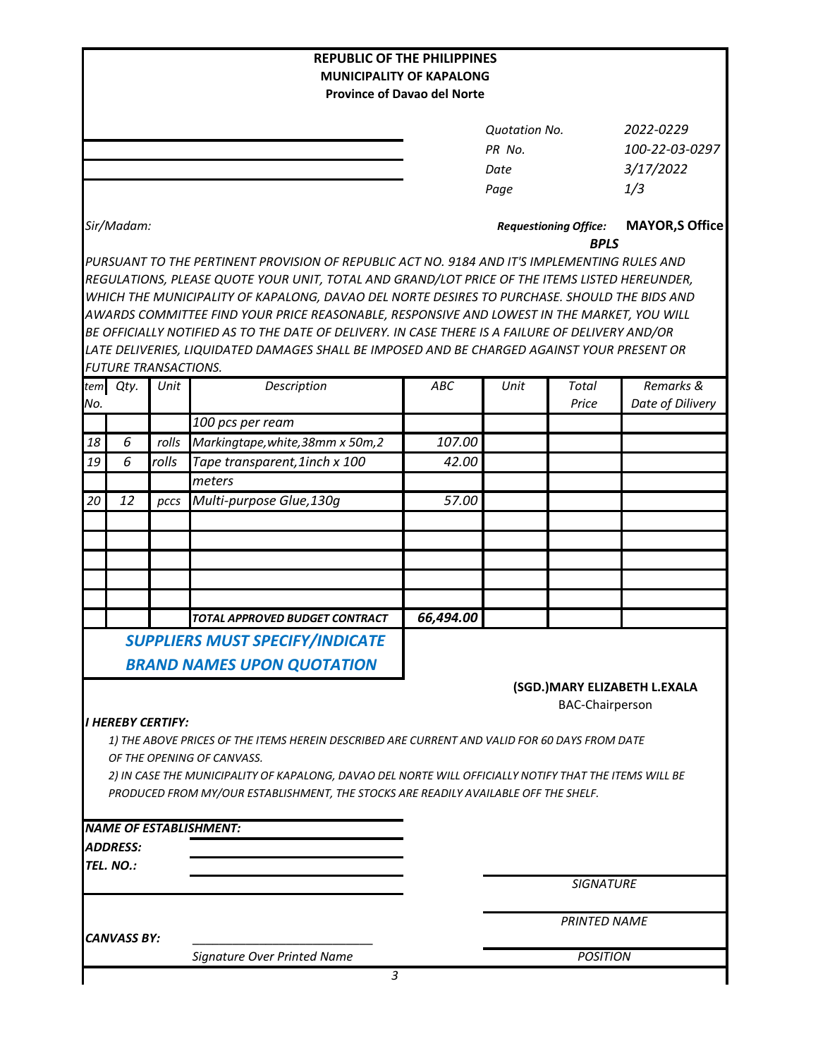| <b>Province of Davao del Norte</b><br>2022-0229<br><b>Quotation No.</b><br>PR No.<br>3/17/2022<br>Date<br>1/3<br>Page<br>Sir/Madam:<br><b>Requestioning Office:</b><br><b>BPLS</b><br>PURSUANT TO THE PERTINENT PROVISION OF REPUBLIC ACT NO. 9184 AND IT'S IMPLEMENTING RULES AND<br>REGULATIONS, PLEASE QUOTE YOUR UNIT, TOTAL AND GRAND/LOT PRICE OF THE ITEMS LISTED HEREUNDER,<br>WHICH THE MUNICIPALITY OF KAPALONG, DAVAO DEL NORTE DESIRES TO PURCHASE. SHOULD THE BIDS AND<br>AWARDS COMMITTEE FIND YOUR PRICE REASONABLE, RESPONSIVE AND LOWEST IN THE MARKET, YOU WILL<br>BE OFFICIALLY NOTIFIED AS TO THE DATE OF DELIVERY. IN CASE THERE IS A FAILURE OF DELIVERY AND/OR<br>LATE DELIVERIES, LIQUIDATED DAMAGES SHALL BE IMPOSED AND BE CHARGED AGAINST YOUR PRESENT OR<br><b>FUTURE TRANSACTIONS.</b><br>Description<br>Remarks &<br>tem Qty.<br>Unit<br>ABC<br>Unit<br>Total<br>Price<br>No.<br>100 pcs per ream<br>6<br>Markingtape, white, 38mm x 50m, 2<br>107.00<br>18<br>rolls<br>19<br>6<br>rolls<br>Tape transparent, 1inch x 100<br>42.00<br>meters<br>12<br>Multi-purpose Glue, 130g<br>57.00<br>20<br>pccs<br>66,494.00<br>TOTAL APPROVED BUDGET CONTRACT<br><b>SUPPLIERS MUST SPECIFY/INDICATE</b><br><b>BRAND NAMES UPON QUOTATION</b><br>(SGD.) MARY ELIZABETH L.EXALA<br><b>BAC-Chairperson</b><br><b>I HEREBY CERTIFY:</b><br>1) THE ABOVE PRICES OF THE ITEMS HEREIN DESCRIBED ARE CURRENT AND VALID FOR 60 DAYS FROM DATE<br>OF THE OPENING OF CANVASS.<br>2) IN CASE THE MUNICIPALITY OF KAPALONG, DAVAO DEL NORTE WILL OFFICIALLY NOTIFY THAT THE ITEMS WILL BE<br>PRODUCED FROM MY/OUR ESTABLISHMENT, THE STOCKS ARE READILY AVAILABLE OFF THE SHELF.<br><b>NAME OF ESTABLISHMENT:</b><br>ADDRESS:<br>TEL. NO.:<br><b>SIGNATURE</b><br><b>PRINTED NAME</b><br><b>CANVASS BY:</b><br>Signature Over Printed Name<br><b>POSITION</b> |  |  | <b>REPUBLIC OF THE PHILIPPINES</b> | <b>MUNICIPALITY OF KAPALONG</b> |  |                        |                  |
|-----------------------------------------------------------------------------------------------------------------------------------------------------------------------------------------------------------------------------------------------------------------------------------------------------------------------------------------------------------------------------------------------------------------------------------------------------------------------------------------------------------------------------------------------------------------------------------------------------------------------------------------------------------------------------------------------------------------------------------------------------------------------------------------------------------------------------------------------------------------------------------------------------------------------------------------------------------------------------------------------------------------------------------------------------------------------------------------------------------------------------------------------------------------------------------------------------------------------------------------------------------------------------------------------------------------------------------------------------------------------------------------------------------------------------------------------------------------------------------------------------------------------------------------------------------------------------------------------------------------------------------------------------------------------------------------------------------------------------------------------------------------------------------------------------------------------------------------------------------------------|--|--|------------------------------------|---------------------------------|--|------------------------|------------------|
|                                                                                                                                                                                                                                                                                                                                                                                                                                                                                                                                                                                                                                                                                                                                                                                                                                                                                                                                                                                                                                                                                                                                                                                                                                                                                                                                                                                                                                                                                                                                                                                                                                                                                                                                                                                                                                                                       |  |  |                                    |                                 |  |                        |                  |
|                                                                                                                                                                                                                                                                                                                                                                                                                                                                                                                                                                                                                                                                                                                                                                                                                                                                                                                                                                                                                                                                                                                                                                                                                                                                                                                                                                                                                                                                                                                                                                                                                                                                                                                                                                                                                                                                       |  |  |                                    |                                 |  |                        | 100-22-03-0297   |
|                                                                                                                                                                                                                                                                                                                                                                                                                                                                                                                                                                                                                                                                                                                                                                                                                                                                                                                                                                                                                                                                                                                                                                                                                                                                                                                                                                                                                                                                                                                                                                                                                                                                                                                                                                                                                                                                       |  |  |                                    |                                 |  | <b>MAYOR, S Office</b> |                  |
|                                                                                                                                                                                                                                                                                                                                                                                                                                                                                                                                                                                                                                                                                                                                                                                                                                                                                                                                                                                                                                                                                                                                                                                                                                                                                                                                                                                                                                                                                                                                                                                                                                                                                                                                                                                                                                                                       |  |  |                                    |                                 |  |                        |                  |
|                                                                                                                                                                                                                                                                                                                                                                                                                                                                                                                                                                                                                                                                                                                                                                                                                                                                                                                                                                                                                                                                                                                                                                                                                                                                                                                                                                                                                                                                                                                                                                                                                                                                                                                                                                                                                                                                       |  |  |                                    |                                 |  |                        |                  |
|                                                                                                                                                                                                                                                                                                                                                                                                                                                                                                                                                                                                                                                                                                                                                                                                                                                                                                                                                                                                                                                                                                                                                                                                                                                                                                                                                                                                                                                                                                                                                                                                                                                                                                                                                                                                                                                                       |  |  |                                    |                                 |  |                        | Date of Dilivery |
|                                                                                                                                                                                                                                                                                                                                                                                                                                                                                                                                                                                                                                                                                                                                                                                                                                                                                                                                                                                                                                                                                                                                                                                                                                                                                                                                                                                                                                                                                                                                                                                                                                                                                                                                                                                                                                                                       |  |  |                                    |                                 |  |                        |                  |
|                                                                                                                                                                                                                                                                                                                                                                                                                                                                                                                                                                                                                                                                                                                                                                                                                                                                                                                                                                                                                                                                                                                                                                                                                                                                                                                                                                                                                                                                                                                                                                                                                                                                                                                                                                                                                                                                       |  |  |                                    |                                 |  |                        |                  |
|                                                                                                                                                                                                                                                                                                                                                                                                                                                                                                                                                                                                                                                                                                                                                                                                                                                                                                                                                                                                                                                                                                                                                                                                                                                                                                                                                                                                                                                                                                                                                                                                                                                                                                                                                                                                                                                                       |  |  |                                    |                                 |  |                        |                  |
|                                                                                                                                                                                                                                                                                                                                                                                                                                                                                                                                                                                                                                                                                                                                                                                                                                                                                                                                                                                                                                                                                                                                                                                                                                                                                                                                                                                                                                                                                                                                                                                                                                                                                                                                                                                                                                                                       |  |  |                                    |                                 |  |                        |                  |
|                                                                                                                                                                                                                                                                                                                                                                                                                                                                                                                                                                                                                                                                                                                                                                                                                                                                                                                                                                                                                                                                                                                                                                                                                                                                                                                                                                                                                                                                                                                                                                                                                                                                                                                                                                                                                                                                       |  |  |                                    |                                 |  |                        |                  |
|                                                                                                                                                                                                                                                                                                                                                                                                                                                                                                                                                                                                                                                                                                                                                                                                                                                                                                                                                                                                                                                                                                                                                                                                                                                                                                                                                                                                                                                                                                                                                                                                                                                                                                                                                                                                                                                                       |  |  |                                    |                                 |  |                        |                  |
|                                                                                                                                                                                                                                                                                                                                                                                                                                                                                                                                                                                                                                                                                                                                                                                                                                                                                                                                                                                                                                                                                                                                                                                                                                                                                                                                                                                                                                                                                                                                                                                                                                                                                                                                                                                                                                                                       |  |  |                                    |                                 |  |                        |                  |
|                                                                                                                                                                                                                                                                                                                                                                                                                                                                                                                                                                                                                                                                                                                                                                                                                                                                                                                                                                                                                                                                                                                                                                                                                                                                                                                                                                                                                                                                                                                                                                                                                                                                                                                                                                                                                                                                       |  |  |                                    |                                 |  |                        |                  |
|                                                                                                                                                                                                                                                                                                                                                                                                                                                                                                                                                                                                                                                                                                                                                                                                                                                                                                                                                                                                                                                                                                                                                                                                                                                                                                                                                                                                                                                                                                                                                                                                                                                                                                                                                                                                                                                                       |  |  |                                    |                                 |  |                        |                  |
|                                                                                                                                                                                                                                                                                                                                                                                                                                                                                                                                                                                                                                                                                                                                                                                                                                                                                                                                                                                                                                                                                                                                                                                                                                                                                                                                                                                                                                                                                                                                                                                                                                                                                                                                                                                                                                                                       |  |  |                                    |                                 |  |                        |                  |